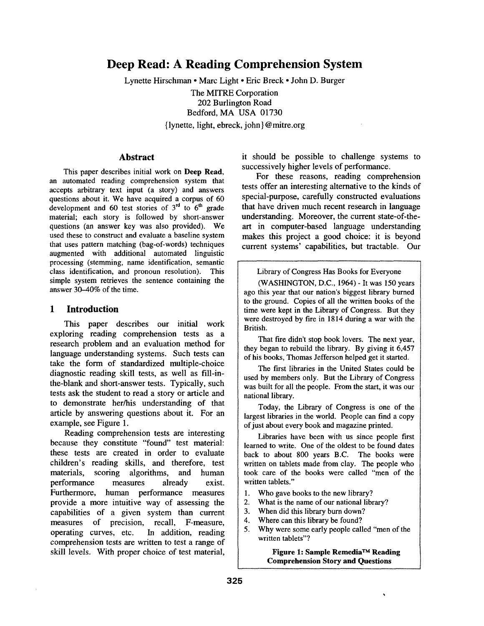# **Deep Read: A Reading Comprehension System**

Lynette Hirschman • Marc Light • Eric Breck • John D. Burger The MITRE Corporation 202 Burlington Road Bedford, MA USA 01730 { l ynette, light, ebreck, john } @ mitre.org

#### **Abstract**

This paper describes initial work on **Deep Read,**  an automated reading comprehension system that accepts arbitrary text input (a story) and answers questions about it. We have acquired a corpus of 60 development and 60 test stories of  $3<sup>rd</sup>$  to  $6<sup>th</sup>$  grade material; each story is followed by short-answer questions (an answer key was also provided). We used these to construct and evaluate a baseline system that uses pattern matching (bag-of-words) techniques augmented with additional automated linguistic processing (stemming, name identification, semantic class identification, and pronoun resolution). This simple system retrieves the sentence containing the answer 30-40% of the time.

#### **1 Introduction**

This paper describes our initial work exploring reading comprehension tests as a research problem and an evaluation method for language understanding systems. Such tests can take the form of standardized multiple-choice diagnostic reading skill tests, as well as fill-inthe-blank and short-answer tests. Typically, such tests ask the student to read a story or article and to demonstrate her/his understanding of that article by answering questions about it. For an example, see Figure 1.

Reading comprehension tests are interesting because they constitute "found" test material: these tests are created in order to evaluate children's reading skills, and therefore, test materials, scoring algorithms, and human performance measures already exist. Furthermore, human performance measures provide a more intuitive way of assessing the capabilities of a given system than current measures of precision, recall, F-measure, operating curves, etc. In addition, reading comprehension tests are written to test a range of skill levels. With proper choice of test material, it should be possible to challenge systems to successively higher levels of performance.

For these reasons, reading comprehension tests offer an interesting alternative to the kinds of special-purpose, carefully constructed evaluations that have driven much recent research in language understanding. Moreover, the current state-of-theart in computer-based language understanding makes this project a good choice: it is beyond current systems' capabilities, but tractable. Our

Library of Congress Has Books for Everyone

(WASHINGTON, D.C., 1964) - It was 150 years ago this year that our nation's biggest library burned to the ground. Copies of all the written books of the time were kept in the Library of Congress. But they were destroyed by fire in 1814 during a war with the British.

That fire didn't stop book lovers. The next year, they began to rebuild the library. By giving it 6,457 of his books, Thomas Jefferson helped get it started.

The first libraries in the United States could be used by members only. But the Library of Congress was built for all the people. From the start, it was our national library.

Today, the Library of Congress is one of the largest libraries in the world. People can find a copy of just about every book and magazine printed.

Libraries have been with us since people first learned to write. One of the oldest to be found dates back to about 800 years B.C. The books were written on tablets made from clay. The people who took care of the books were called "men of the written tablets."

- 1. Who gave books to the new library?
- 2. What is the name of our national library?
- 3. When did this library burn down?
- 4. Where can this library be found?
- 5. Why were some early people called "men of the written tablets"?

**Figure 1: Sample Remedia TM Reading Comprehension Story and Questions** 

 $\ddot{\phantom{0}}$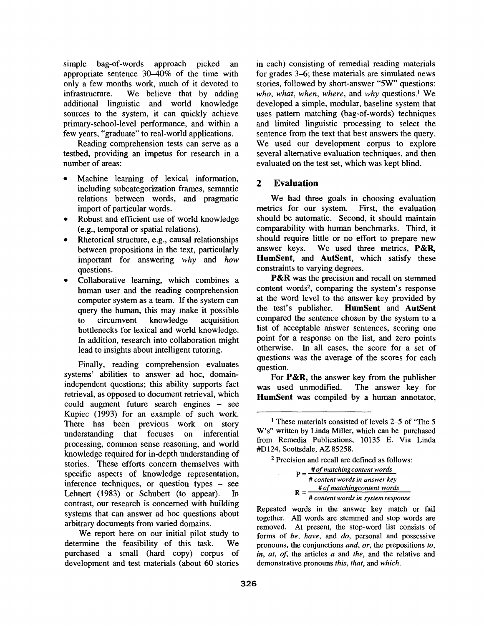simple bag-of-words approach picked an appropriate sentence  $30-40\%$  of the time with only a few months work, much of it devoted to infrastructure. We believe that by adding additional linguistic and world knowledge sources to the system, it can quickly achieve primary-school-level performance, and within a few years, "graduate" to real-world applications.

Reading comprehension tests can serve as a testbed, providing an impetus for research in a number of areas:

- Machine learning of lexical information, including subcategorization frames, semantic relations between words, and pragmatic import of particular words.
- Robust and efficient use of world knowledge (e.g., temporal or spatial relations).
- Rhetorical structure, e.g., causal relationships between propositions in the text, particularly important for answering *why* and *how*  questions.
- Collaborative learning, which combines a human user and the reading comprehension computer system as a team. If the system can query the human, this may make it possible to circumvent knowledge acquisition bottlenecks for lexical and world knowledge. In addition, research into collaboration might lead to insights about intelligent tutoring.

Finally, reading comprehension evaluates systems' abilities to answer ad hoc, domainindependent questions; this ability supports fact retrieval, as opposed to document retrieval, which could augment future search engines - see Kupiec (1993) for an example of such work. There has been previous work on story understanding that focuses on inferential processing, common sense reasoning, and world knowledge required for in-depth understanding of stories. These efforts concern themselves with specific aspects of knowledge representation, inference techniques, or question types - see Lehnert (1983) or Schubert (to appear). In contrast, our research is concerned with building systems that can answer ad hoc questions about arbitrary documents from varied domains.

We report here on our initial pilot study to determine the feasibility of this task. We purchased a small (hard copy) corpus of development and test materials (about 60 stories in each) consisting of remedial reading materials for grades 3-6; these materials are simulated news stories, followed by short-answer "5W" questions: *who, what, when, where, and why questions*.<sup>1</sup> We developed a simple, modular, baseline system that uses pattern matching (bag-of-words) techniques and limited linguistic processing to select the sentence from the text that best answers the query. We used our development corpus to explore several alternative evaluation techniques, and then evaluated on the test set, which was kept blind.

# **2 Evaluation**

We had three goals in choosing evaluation metrics for our system. First, the evaluation should be automatic. Second, it should maintain comparability with human benchmarks. Third, it should require little or no effort to prepare new answer keys. We used three metrics, P&R, HumSent, and AutSent, which satisfy these constraints to varying degrees.

P&R was the precision and recall on stemmed content words<sup>2</sup>, comparing the system's response at the word level to the answer key provided by the test's publisher. HumSent and AutSent compared the sentence chosen by the system to a list of acceptable answer sentences, scoring one point for a response on the list, and zero points otherwise. In all cases, the score for a set of questions was the average of the scores for each question.

For P&R, the answer key from the publisher was used unmodified. The answer key for HumSent was compiled by a human annotator,

z Precision and recall are defined as follows:

*p = #ofmatchinscontent words # content words in answer key R = #ofmatchingcontent words # content words in system response* 

Repeated words in the answer key match or fail together. All words are stemmed and stop words are removed. At present, the stop-word list consists of forms of *be, have,* and *do,* personal and possessive pronouns, the conjunctions *and, or,* the prepositions *to, in, at, of,* the articles a and *the,* and the relative and demonstrative pronouns *this, that,* and *which.* 

<sup>&</sup>lt;sup>1</sup> These materials consisted of levels 2–5 of "The 5 W's" written by Linda Miller, which can be purchased from Remedia Publications, 10135 E. Via Linda #D124, Scottsdale, AZ 85258.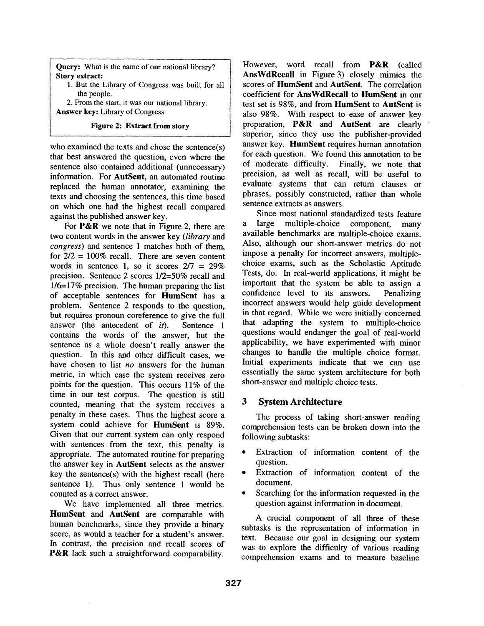**Query:** What is the name of our national library? Story **extract:** 

1. But the Library of Congress was built for all the people.

2. From the start, it was our national library. **Answer** key: Library of Congress

## **Figure 2: Extract from story**

who examined the texts and chose the sentence(s) that best answered the question, even where the sentence also contained additional (unnecessary) information. For AutSent, an automated routine replaced the human annotator, examining the texts and choosing the sentences, this time based on which one had the highest recall compared against the published answer key.

For P&R we note that in Figure 2, there are two content words in the answer key *(library* and *congress)* and sentence 1 matches both of them, for  $2/2 = 100\%$  recall. There are seven content words in sentence 1, so it scores  $2/7 = 29\%$ precision. Sentence 2 scores 1/2=50% recall and 1/6=17% precision. The human preparing the list of acceptable sentences for HumSent has a problem. Sentence 2 responds to the question, but requires pronoun coreference to give the full answer (the antecedent of *it).* Sentence 1 contains the words of the answer, but the sentence as a whole doesn't really answer the question. In this and other difficult cases, we have chosen to list *no* answers for the human metric, in which case the system receives zero points for the question. This occurs 11% of the time in our test corpus. The question is still counted, meaning that the system receives a penalty in these cases. Thus the highest score a system could achieve for HumSent is 89%. Given that our current system can only respond with sentences from the text, this penalty is appropriate. The automated routine for preparing the answer key in AutSent selects as the answer key the sentence(s) with the highest recall (here sentence 1). Thus only sentence 1 would be counted as a correct answer.

We have implemented all three metrics. **HumSent** and AutSent are comparable with human benchmarks, since they provide a binary score, as would a teacher for a student's answer. In contrast, the precision and recall scores of P&R lack such a straightforward comparability.

However, word recall from **P&R** (called **AnsWdRecall** in Figure 3) closely mimics the scores of HumSent and AutSent. The correlation coefficient for AnsWdRecall to HumSent in our test set is 98%, and from HumSent to AutSent is also 98%. With respect to ease of answer key preparation, P&R and AutSent are clearly superior, since they use the publisher-provided answer key. HumSent requires human annotation for each question. We found this annotation to be of moderate difficulty. Finally, we note that precision, as well as recall, will be useful to evaluate systems that can return clauses or phrases, possibly constructed, rather than whole sentence extracts as answers.

Since most national standardized tests feature a large multiple-choice component, many available benchmarks are multiple-choice exams. Also, although our short-answer metrics do not impose a penalty for incorrect answers, multiplechoice exams, such as the Scholastic Aptitude Tests, do. In real-world applications, it might be important that the system be able to assign a confidence level to its answers. Penalizing incorrect answers would help guide development in that regard. While we were initially concerned that adapting the system to multiple-choice questions would endanger the goal of real-world applicability, we have experimented with minor changes to handle the multiple choice format. Initial experiments indicate that we can use essentially the same system architecture for both short-answer and multiple choice tests.

## **3 System Architecture**

The process of taking short-answer reading comprehension tests can be broken down into the following subtasks:

- Extraction of information content of the question.
- Extraction of information content of the document.
- Searching for the information requested in the question against information in document.

A crucial component of all three of these subtasks is the representation of information in text. Because our goal in designing our system was to explore the difficulty of various reading comprehension exams and to measure baseline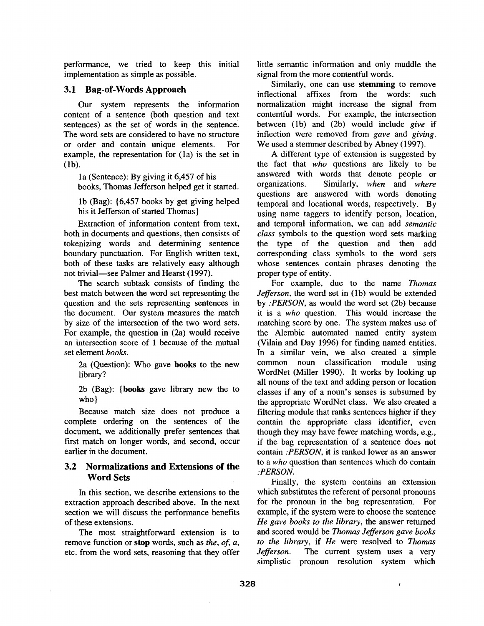performance, we tried to keep this initial implementation as simple as possible.

#### 3.1 Bag-of-Words Approach

Our system represents the information content of a sentence (both question and text sentences) as the set of words in the sentence. The word sets are considered to have no structure or order and contain unique elements. For example, the representation for (la) is the set in (lb).

la (Sentence): By giving it 6,457 of his books, Thomas Jefferson helped get it started.

lb (Bag): {6,457 books by get giving helped his it Jefferson of started Thomas}

Extraction of information content from text, both in documents and questions, then consists of tokenizing words and determining sentence boundary punctuation. For English written text, both of these tasks are relatively easy although not trivial—see Palmer and Hearst (1997).

The search subtask consists of finding the best match between the word set representing the question and the sets representing sentences in the document. Our system measures the match by size of the intersection of the two word sets. For example, the question in (2a) would receive an intersection score of 1 because of the mutual set element *books.* 

2a (Question): Who gave books to the new library?

2b (Bag): {books gave library new the to who}

Because match size does not produce a complete ordering on the sentences of the document, we additionally prefer sentences that first match on longer words, and second, occur earlier in the document.

## **3.2 Normalizations and Extensions of the Word** Sets

In this section, we describe extensions to the extraction approach described above. In the next section we will discuss the performance benefits of these extensions.

The most straightforward extension is to remove function or stop words, such as *the, of, a,*  etc. from the word sets, reasoning that they offer little semantic information and only muddle the signal from the more contentful words.

Similarly, one can use stemming to remove inflectional affixes from the words: such normalization might increase the signal from contentful words. For example, the intersection between (lb) and (2b) would include *give* if inflection were removed from *gave* and *giving.*  We used a stemmer described by Abney (1997).

A different type of extension is suggested by the fact that *who* questions are likely to be answered with words that denote people or organizations. Similarly, *when* and *where*  questions are answered with words denoting temporal and locational words, respectively. By using name taggers to identify person, location, and temporal information, we can add *semantic class* symbols to the question word sets marking the type of the question and then add corresponding class symbols to the word sets whose sentences contain phrases denoting the proper type of entity.

For example, due to the name *Thomas Jefferson*, the word set in (1b) would be extended by *:PERSON,* as would the word set (2b) because it is a *who* question. This would increase the matching score by one. The system makes use of the Alembic automated named entity system (Vilain and Day 1996) for finding named entities. In a similar vein, we also created a simple common noun classification module using WordNet (Miller 1990). It works by looking up all nouns of the text and adding person or location classes if any of a noun's senses is subsumed by the appropriate WordNet class. We also created a filtering module that ranks sentences higher if they contain the appropriate class identifier, even though they may have fewer matching words, e.g., if the bag representation of a sentence does not contain *:PERSON,* it is ranked lower as an answer to a *who* question than sentences which do contain *:PERSON.* 

Finally, the system contains an extension which substitutes the referent of personal pronouns for the pronoun in the bag representation. For example, if the system were to choose the sentence *He gave books to the library,* the answer returned and scored would be *Thomas Jefferson gave books to the library,* if *He* were resolved to *Thomas Jefferson.* The current system uses a very simplistic pronoun resolution system which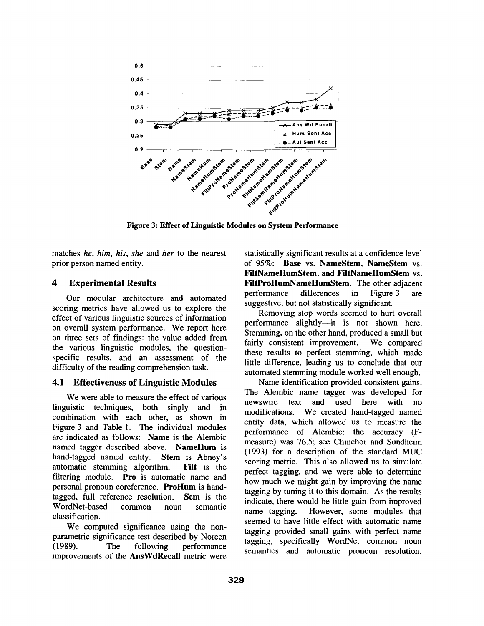

**Figure 3: Effect of Linguistic Modules on System Performance** 

matches *he, him, his, she and her* to the nearest prior person named entity.

#### **4 Experimental Results**

Our modular architecture and automated scoring metrics have allowed us to explore the effect of various linguistic sources of information on overall system performance. We report here on three sets of findings: the value added from the various linguistic modules, the questionspecific results, and an assessment of the difficulty of the reading comprehension task.

## **4.1 Effectiveness of Linguistic Modules**

We were able to measure the effect of various linguistic techniques, both singly and in combination with each other, as shown in Figure 3 and Table 1. The individual modules are indicated as follows: Name is the Alembic named tagger described above. NameHum is hand-tagged named entity. Stem is Abney's automatic stemming algorithm. Filt is the filtering module. Pro is automatic name and personal pronoun coreference. ProHum is handtagged, full reference resolution. Sem is the WordNet-based common noun semantic classification.

We computed significance using the nonparametric significance test described by Noreen (1989). The following performance improvements of the AnsWdRecall metric were

statistically significant results at a confidence level of 95%: Base vs. NameStem, NameStem vs. **FiltNameHumStem, and FiltNameHumStem** vs. FiltProHumNameHumStem. The other adjacent performance differences in Figure 3 are suggestive, but not statistically significant.

Removing stop words seemed to hurt overall performance slightly--it is not shown here. Stemming, on the other hand, produced a small but fairly consistent improvement. We compared these results to perfect stemming, which made little difference, leading us to conclude that our automated stemming module worked well enough.

Name identification provided consistent gains. The Alembic name tagger was developed for newswire text and used here with no modifications. We created hand-tagged named entity data, which allowed us to measure the performance of Alembic: the accuracy (Fmeasure) was 76.5; see Chinchor and Sundheim (1993) for a description of the standard MUC scoring metric. This also allowed us to simulate perfect tagging, and we were able to determine how much we might gain by improving the name tagging by tuning it to this domain. As the results indicate, there would be little gain from improved name tagging. However, some modules that seemed to have little effect with automatic name tagging provided small gains with perfect name tagging, specifically WordNet common noun semantics and automatic pronoun resolution.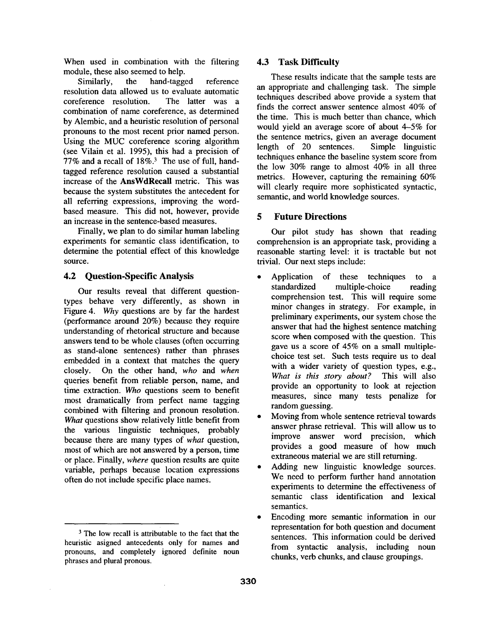When used in combination with the filtering module, these also seemed to help.

Similarly, the hand-tagged reference resolution data allowed us to evaluate automatic coreference resolution. The latter was a combination of name coreference, as determined by Alembic, and a heuristic resolution of personal pronouns to the most recent prior named person. Using the MUC coreference scoring algorithm (see Vilain et al. 1995), this had a precision of 77% and a recall of 18%. 3 The use of full, handtagged reference resolution caused a substantial increase of the AnsWdRecall metric. This was because the system substitutes the antecedent for all referring expressions, improving the wordbased measure. This did not, however, provide an increase in the sentence-based measures.

Finally, we plan to do similar human labeling experiments for semantic class identification, to determine the potential effect of this knowledge source.

## 4.2 Question-Specific Analysis

Our results reveal that different questiontypes behave very differently, as shown in Figure 4. *Why* questions are by far the hardest (performance around 20%) because they require understanding of rhetorical structure and because answers tend to be whole clauses (often occurring as stand-alone sentences) rather than phrases embedded in a context that matches the query closely. On the other hand, *who* and *when*  queries benefit from reliable person, name, and time extraction. *Who* questions seem to benefit most dramatically from perfect name tagging combined with filtering and pronoun resolution. *What* questions show relatively little benefit from the various linguistic techniques, probably because there are many types of *what* question, most of which are not answered by a person, time or place. Finally, *where* question results are quite variable, perhaps because location expressions often do not include specific place names.

## **4.3 Task Difficulty**

These results indicate that the sample tests are an appropriate and challenging task. The simple techniques described above provide a system that finds the correct answer sentence almost 40% of the time. This is much better than chance, which would yield an average score of about 4-5% for the sentence metrics, given an average document length of 20 sentences. Simple linguistic techniques enhance the baseline system score from the low 30% range to almost 40% in all three metrics. However, capturing the remaining 60% will clearly require more sophisticated syntactic, semantic, and world knowledge sources.

# **5 Future Directions**

Our pilot study has shown that reading comprehension is an appropriate task, providing a reasonable starting level: it is tractable but not trivial. Our next steps include:

- Application of these techniques to a standardized multiple-choice reading comprehension test. This will require some minor changes in strategy. For example, in preliminary experiments, our system chose the answer that had the highest sentence matching score when composed with the question. This gave us a score of 45% on a small multiplechoice test set. Such tests require us to deal with a wider variety of question types, e.g., *What is this story about?* This will also provide an opportunity to look at rejection measures, since many tests penalize for random guessing.
- Moving from whole sentence retrieval towards answer phrase retrieval. This will allow us to improve answer word precision, which provides a good measure of how much extraneous material we are still returning.
- Adding new linguistic knowledge sources. We need to perform further hand annotation experiments to determine the effectiveness of semantic class identification and lexical semantics.
- Encoding more semantic information in our representation for both question and document sentences. This information could be derived from syntactic analysis, including noun chunks, verb chunks, and clause groupings.

<sup>&</sup>lt;sup>3</sup> The low recall is attributable to the fact that the heuristic asigned antecedents only for names and pronouns, and completely ignored definite noun phrases and plural pronous.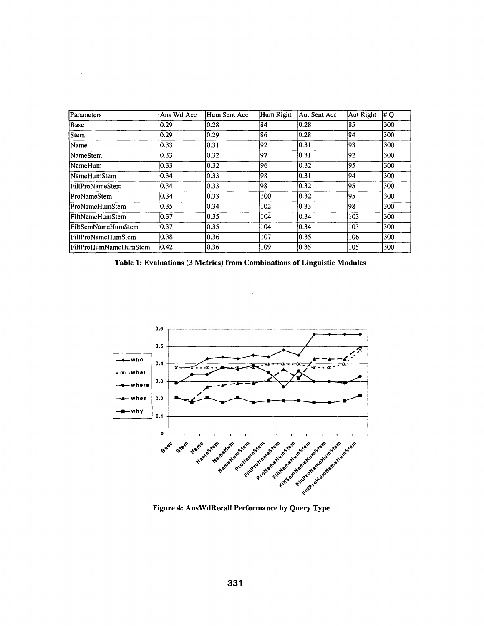| Parameters                | Ans Wd Acc     | Hum Sent Acc   | Hum Right | Aut Sent Acc   | Aut Right | # Q |
|---------------------------|----------------|----------------|-----------|----------------|-----------|-----|
| Base                      | 10.29          | 10.28          | 84        | 10.28          | 185       | 300 |
| <b>Stem</b>               | $ 0.29\rangle$ | 10.29          | 86        | 0.28           | 184       | 300 |
| <b>Name</b>               | 0.33           | 10.31          | 92        | 0.31           | 193       | 300 |
| lNameStem                 | 0.33           | 10.32          | 97        | 10.31          | 92.       | 300 |
| lNameHum                  | 10.33          | 10.32          | 96        | $ 0.32\rangle$ | 195       | 300 |
| NameHumStem               | 0.34           | $ 0.33\rangle$ | 98        | 0.31           | 94        | 300 |
| <b>IFiltProNameStem</b>   | 0.34           | $ 0.33\rangle$ | 98        | 0.32           | 195       | 300 |
| ProNameStem               | 0.34           | 10.33          | 100       | 10.32          | 195       | 300 |
| ProNameHumStem            | 0.35           | 10.34          | 102       | 0.33           | 198.      | 300 |
| FiltNameHumStem           | 10.37          | 10.35          | 104       | 0.34           | 103       | 300 |
| <b>FiltSemNameHumStem</b> | 0.37           | 10.35          | 104       | 10.34          | 103       | 300 |
| FiltProNameHumStem        | 10.38          | 0.36           | 107       | 0.35           | 106       | 300 |
| FiltProHumNameHumStem     | 0.42           | 10.36          | 109       | 0.35           | 105       | 300 |

**Table 1: Evaluations (3 Metrics) from Combinations of Linguistic Modules** 

 $\bar{z}$ 



**Figure 4: AnsWdRecall Performance by Query Type**